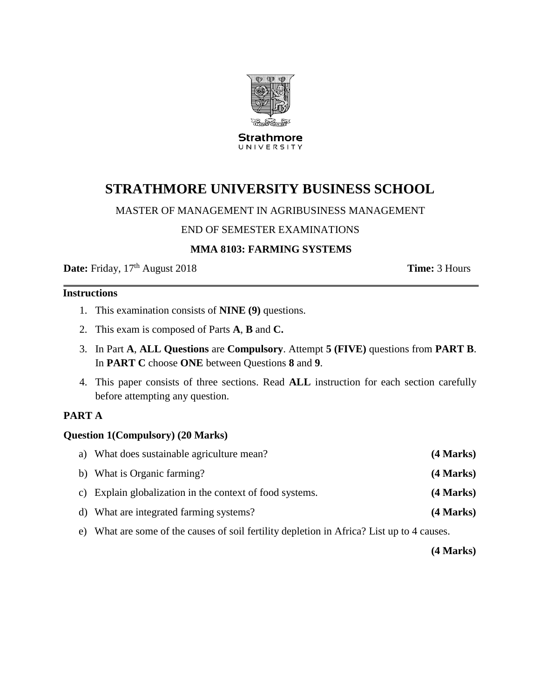

**Strathmore** UNIVERSITY

# **STRATHMORE UNIVERSITY BUSINESS SCHOOL**

# MASTER OF MANAGEMENT IN AGRIBUSINESS MANAGEMENT

#### END OF SEMESTER EXAMINATIONS

# **MMA 8103: FARMING SYSTEMS**

**Date:** Friday, 17<sup>th</sup> August 2018 **Time:** 3 Hours

# **Instructions**

- 1. This examination consists of **NINE (9)** questions.
- 2. This exam is composed of Parts **A**, **B** and **C.**
- 3. In Part **A**, **ALL Questions** are **Compulsory**. Attempt **5 (FIVE)** questions from **PART B**. In **PART C** choose **ONE** between Questions **8** and **9**.
- 4. This paper consists of three sections. Read **ALL** instruction for each section carefully before attempting any question.

#### **PART A**

#### **Question 1(Compulsory) (20 Marks)**

| a) What does sustainable agriculture mean?               | (4 Marks) |
|----------------------------------------------------------|-----------|
| b) What is Organic farming?                              | (4 Marks) |
| c) Explain globalization in the context of food systems. | (4 Marks) |
| d) What are integrated farming systems?                  | (4 Marks) |
|                                                          |           |

e) What are some of the causes of soil fertility depletion in Africa? List up to 4 causes.

**(4 Marks)**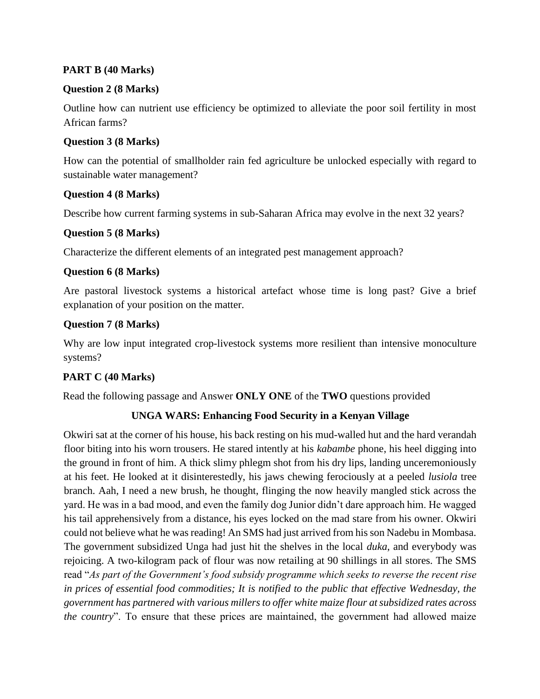# **PART B (40 Marks)**

# **Question 2 (8 Marks)**

Outline how can nutrient use efficiency be optimized to alleviate the poor soil fertility in most African farms?

#### **Question 3 (8 Marks)**

How can the potential of smallholder rain fed agriculture be unlocked especially with regard to sustainable water management?

# **Question 4 (8 Marks)**

Describe how current farming systems in sub-Saharan Africa may evolve in the next 32 years?

# **Question 5 (8 Marks)**

Characterize the different elements of an integrated pest management approach?

# **Question 6 (8 Marks)**

Are pastoral livestock systems a historical artefact whose time is long past? Give a brief explanation of your position on the matter.

# **Question 7 (8 Marks)**

Why are low input integrated crop-livestock systems more resilient than intensive monoculture systems?

# **PART C (40 Marks)**

Read the following passage and Answer **ONLY ONE** of the **TWO** questions provided

# **UNGA WARS: Enhancing Food Security in a Kenyan Village**

Okwiri sat at the corner of his house, his back resting on his mud-walled hut and the hard verandah floor biting into his worn trousers. He stared intently at his *kabambe* phone, his heel digging into the ground in front of him. A thick slimy phlegm shot from his dry lips, landing unceremoniously at his feet. He looked at it disinterestedly, his jaws chewing ferociously at a peeled *lusiola* tree branch. Aah, I need a new brush, he thought, flinging the now heavily mangled stick across the yard. He was in a bad mood, and even the family dog Junior didn't dare approach him. He wagged his tail apprehensively from a distance, his eyes locked on the mad stare from his owner. Okwiri could not believe what he was reading! An SMS had just arrived from his son Nadebu in Mombasa. The government subsidized Unga had just hit the shelves in the local *duka*, and everybody was rejoicing. A two-kilogram pack of flour was now retailing at 90 shillings in all stores. The SMS read "*As part of the Government's food subsidy programme which seeks to reverse the recent rise in prices of essential food commodities; It is notified to the public that effective Wednesday, the government has partnered with various millers to offer white maize flour at subsidized rates across the country*". To ensure that these prices are maintained, the government had allowed maize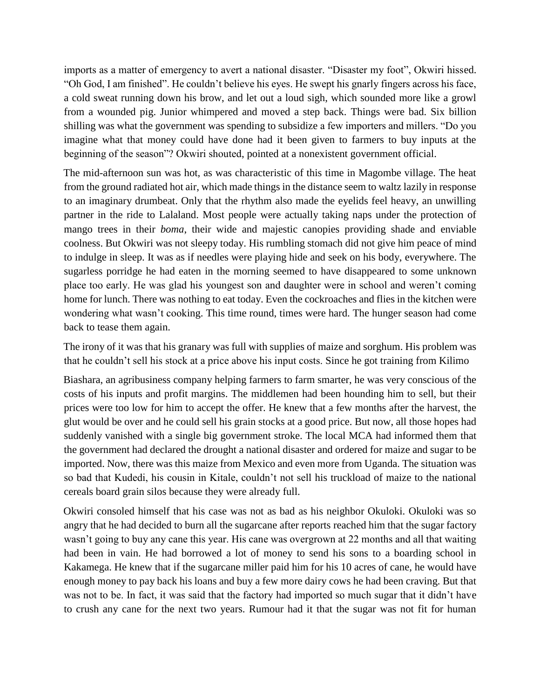imports as a matter of emergency to avert a national disaster. "Disaster my foot", Okwiri hissed. "Oh God, I am finished". He couldn't believe his eyes. He swept his gnarly fingers across his face, a cold sweat running down his brow, and let out a loud sigh, which sounded more like a growl from a wounded pig. Junior whimpered and moved a step back. Things were bad. Six billion shilling was what the government was spending to subsidize a few importers and millers. "Do you imagine what that money could have done had it been given to farmers to buy inputs at the beginning of the season"? Okwiri shouted, pointed at a nonexistent government official.

The mid-afternoon sun was hot, as was characteristic of this time in Magombe village. The heat from the ground radiated hot air, which made things in the distance seem to waltz lazily in response to an imaginary drumbeat. Only that the rhythm also made the eyelids feel heavy, an unwilling partner in the ride to Lalaland. Most people were actually taking naps under the protection of mango trees in their *boma*, their wide and majestic canopies providing shade and enviable coolness. But Okwiri was not sleepy today. His rumbling stomach did not give him peace of mind to indulge in sleep. It was as if needles were playing hide and seek on his body, everywhere. The sugarless porridge he had eaten in the morning seemed to have disappeared to some unknown place too early. He was glad his youngest son and daughter were in school and weren't coming home for lunch. There was nothing to eat today. Even the cockroaches and flies in the kitchen were wondering what wasn't cooking. This time round, times were hard. The hunger season had come back to tease them again.

The irony of it was that his granary was full with supplies of maize and sorghum. His problem was that he couldn't sell his stock at a price above his input costs. Since he got training from Kilimo

Biashara, an agribusiness company helping farmers to farm smarter, he was very conscious of the costs of his inputs and profit margins. The middlemen had been hounding him to sell, but their prices were too low for him to accept the offer. He knew that a few months after the harvest, the glut would be over and he could sell his grain stocks at a good price. But now, all those hopes had suddenly vanished with a single big government stroke. The local MCA had informed them that the government had declared the drought a national disaster and ordered for maize and sugar to be imported. Now, there was this maize from Mexico and even more from Uganda. The situation was so bad that Kudedi, his cousin in Kitale, couldn't not sell his truckload of maize to the national cereals board grain silos because they were already full.

Okwiri consoled himself that his case was not as bad as his neighbor Okuloki. Okuloki was so angry that he had decided to burn all the sugarcane after reports reached him that the sugar factory wasn't going to buy any cane this year. His cane was overgrown at 22 months and all that waiting had been in vain. He had borrowed a lot of money to send his sons to a boarding school in Kakamega. He knew that if the sugarcane miller paid him for his 10 acres of cane, he would have enough money to pay back his loans and buy a few more dairy cows he had been craving. But that was not to be. In fact, it was said that the factory had imported so much sugar that it didn't have to crush any cane for the next two years. Rumour had it that the sugar was not fit for human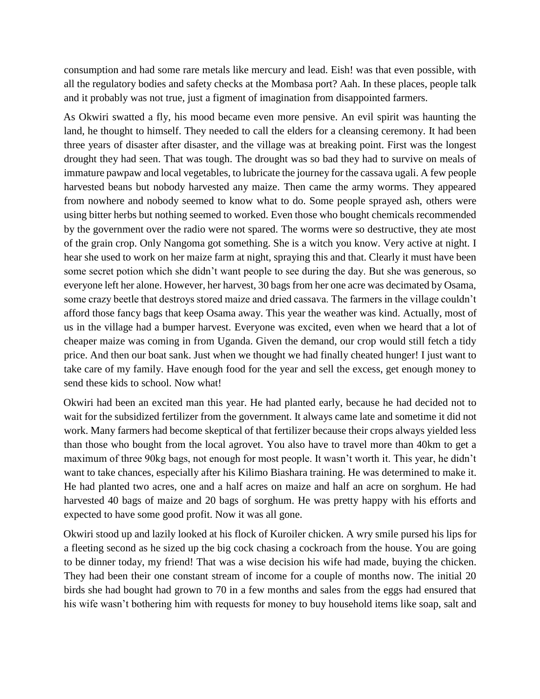consumption and had some rare metals like mercury and lead. Eish! was that even possible, with all the regulatory bodies and safety checks at the Mombasa port? Aah. In these places, people talk and it probably was not true, just a figment of imagination from disappointed farmers.

As Okwiri swatted a fly, his mood became even more pensive. An evil spirit was haunting the land, he thought to himself. They needed to call the elders for a cleansing ceremony. It had been three years of disaster after disaster, and the village was at breaking point. First was the longest drought they had seen. That was tough. The drought was so bad they had to survive on meals of immature pawpaw and local vegetables, to lubricate the journey for the cassava ugali. A few people harvested beans but nobody harvested any maize. Then came the army worms. They appeared from nowhere and nobody seemed to know what to do. Some people sprayed ash, others were using bitter herbs but nothing seemed to worked. Even those who bought chemicals recommended by the government over the radio were not spared. The worms were so destructive, they ate most of the grain crop. Only Nangoma got something. She is a witch you know. Very active at night. I hear she used to work on her maize farm at night, spraying this and that. Clearly it must have been some secret potion which she didn't want people to see during the day. But she was generous, so everyone left her alone. However, her harvest, 30 bags from her one acre was decimated by Osama, some crazy beetle that destroys stored maize and dried cassava. The farmers in the village couldn't afford those fancy bags that keep Osama away. This year the weather was kind. Actually, most of us in the village had a bumper harvest. Everyone was excited, even when we heard that a lot of cheaper maize was coming in from Uganda. Given the demand, our crop would still fetch a tidy price. And then our boat sank. Just when we thought we had finally cheated hunger! I just want to take care of my family. Have enough food for the year and sell the excess, get enough money to send these kids to school. Now what!

Okwiri had been an excited man this year. He had planted early, because he had decided not to wait for the subsidized fertilizer from the government. It always came late and sometime it did not work. Many farmers had become skeptical of that fertilizer because their crops always yielded less than those who bought from the local agrovet. You also have to travel more than 40km to get a maximum of three 90kg bags, not enough for most people. It wasn't worth it. This year, he didn't want to take chances, especially after his Kilimo Biashara training. He was determined to make it. He had planted two acres, one and a half acres on maize and half an acre on sorghum. He had harvested 40 bags of maize and 20 bags of sorghum. He was pretty happy with his efforts and expected to have some good profit. Now it was all gone.

Okwiri stood up and lazily looked at his flock of Kuroiler chicken. A wry smile pursed his lips for a fleeting second as he sized up the big cock chasing a cockroach from the house. You are going to be dinner today, my friend! That was a wise decision his wife had made, buying the chicken. They had been their one constant stream of income for a couple of months now. The initial 20 birds she had bought had grown to 70 in a few months and sales from the eggs had ensured that his wife wasn't bothering him with requests for money to buy household items like soap, salt and